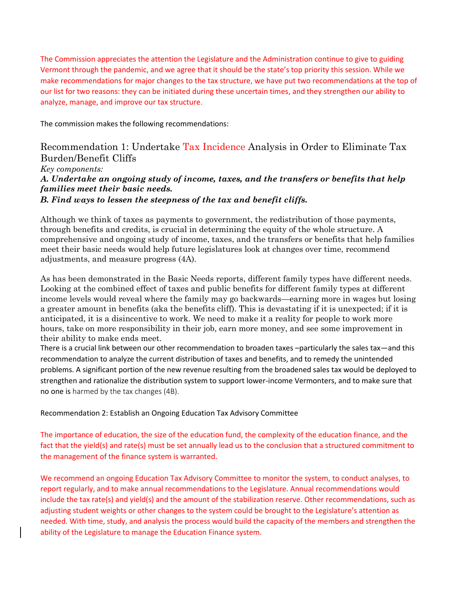The Commission appreciates the attention the Legislature and the Administration continue to give to guiding Vermont through the pandemic, and we agree that it should be the state's top priority this session. While we make recommendations for major changes to the tax structure, we have put two recommendations at the top of our list for two reasons: they can be initiated during these uncertain times, and they strengthen our ability to analyze, manage, and improve our tax structure.

The commission makes the following recommendations:

Recommendation 1: Undertake Tax Incidence Analysis in Order to Eliminate Tax Burden/Benefit Cliffs *Key components:* 

## *A. Undertake an ongoing study of income, taxes, and the transfers or benefits that help families meet their basic needs.*

*B. Find ways to lessen the steepness of the tax and benefit cliffs.* 

Although we think of taxes as payments to government, the redistribution of those payments, through benefits and credits, is crucial in determining the equity of the whole structure. A comprehensive and ongoing study of income, taxes, and the transfers or benefits that help families meet their basic needs would help future legislatures look at changes over time, recommend adjustments, and measure progress (4A).

As has been demonstrated in the Basic Needs reports, different family types have different needs. Looking at the combined effect of taxes and public benefits for different family types at different income levels would reveal where the family may go backwards—earning more in wages but losing a greater amount in benefits (aka the benefits cliff). This is devastating if it is unexpected; if it is anticipated, it is a disincentive to work. We need to make it a reality for people to work more hours, take on more responsibility in their job, earn more money, and see some improvement in their ability to make ends meet.

There is a crucial link between our other recommendation to broaden taxes –particularly the sales tax—and this recommendation to analyze the current distribution of taxes and benefits, and to remedy the unintended problems. A significant portion of the new revenue resulting from the broadened sales tax would be deployed to strengthen and rationalize the distribution system to support lower-income Vermonters, and to make sure that no one is harmed by the tax changes (4B).

Recommendation 2: Establish an Ongoing Education Tax Advisory Committee

The importance of education, the size of the education fund, the complexity of the education finance, and the fact that the yield(s) and rate(s) must be set annually lead us to the conclusion that a structured commitment to the management of the finance system is warranted.

We recommend an ongoing Education Tax Advisory Committee to monitor the system, to conduct analyses, to report regularly, and to make annual recommendations to the Legislature. Annual recommendations would include the tax rate(s) and yield(s) and the amount of the stabilization reserve. Other recommendations, such as adjusting student weights or other changes to the system could be brought to the Legislature's attention as needed. With time, study, and analysis the process would build the capacity of the members and strengthen the ability of the Legislature to manage the Education Finance system.